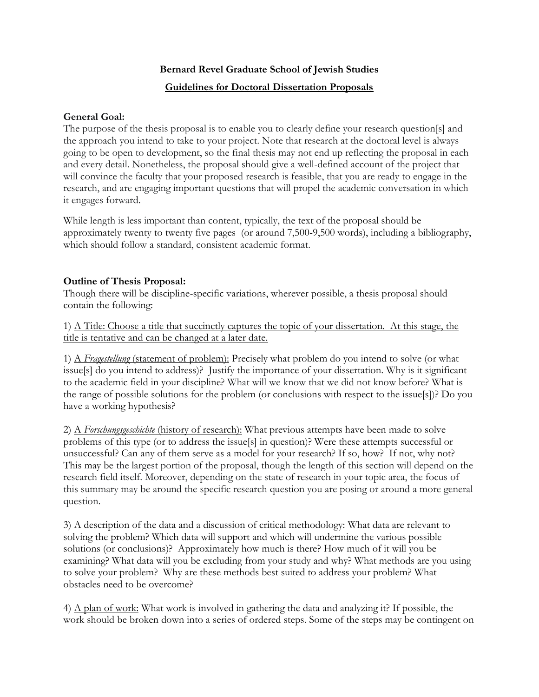## **Bernard Revel Graduate School of Jewish Studies Guidelines for Doctoral Dissertation Proposals**

## **General Goal:**

The purpose of the thesis proposal is to enable you to clearly define your research question[s] and the approach you intend to take to your project. Note that research at the doctoral level is always going to be open to development, so the final thesis may not end up reflecting the proposal in each and every detail. Nonetheless, the proposal should give a well-defined account of the project that will convince the faculty that your proposed research is feasible, that you are ready to engage in the research, and are engaging important questions that will propel the academic conversation in which it engages forward.

While length is less important than content, typically, the text of the proposal should be approximately twenty to twenty five pages (or around 7,500-9,500 words), including a bibliography, which should follow a standard, consistent academic format.

## **Outline of Thesis Proposal:**

Though there will be discipline-specific variations, wherever possible, a thesis proposal should contain the following:

1) A Title: Choose a title that succinctly captures the topic of your dissertation. At this stage, the title is tentative and can be changed at a later date.

1) A *Fragestellung* (statement of problem): Precisely what problem do you intend to solve (or what issue[s] do you intend to address)? Justify the importance of your dissertation. Why is it significant to the academic field in your discipline? What will we know that we did not know before? What is the range of possible solutions for the problem (or conclusions with respect to the issue[s])? Do you have a working hypothesis?

2) A *Forschungsgeschichte* (history of research): What previous attempts have been made to solve problems of this type (or to address the issue[s] in question)? Were these attempts successful or unsuccessful? Can any of them serve as a model for your research? If so, how? If not, why not? This may be the largest portion of the proposal, though the length of this section will depend on the research field itself. Moreover, depending on the state of research in your topic area, the focus of this summary may be around the specific research question you are posing or around a more general question.

3) A description of the data and a discussion of critical methodology: What data are relevant to solving the problem? Which data will support and which will undermine the various possible solutions (or conclusions)? Approximately how much is there? How much of it will you be examining? What data will you be excluding from your study and why? What methods are you using to solve your problem? Why are these methods best suited to address your problem? What obstacles need to be overcome?

4) A plan of work: What work is involved in gathering the data and analyzing it? If possible, the work should be broken down into a series of ordered steps. Some of the steps may be contingent on